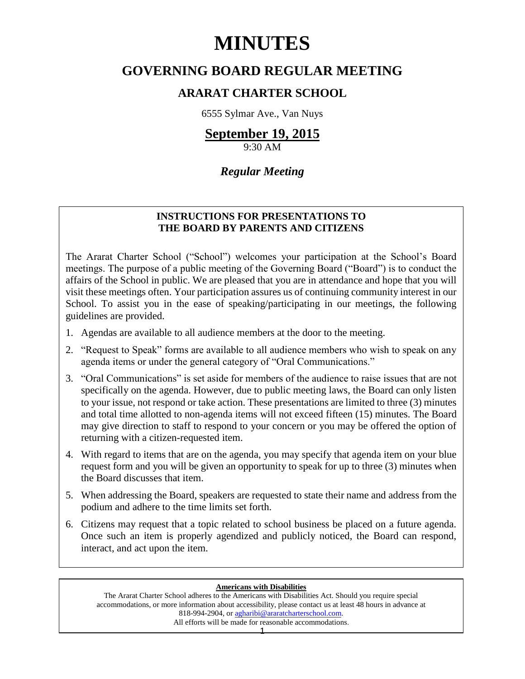# **MINUTES**

# **GOVERNING BOARD REGULAR MEETING**

# **ARARAT CHARTER SCHOOL**

6555 Sylmar Ave., Van Nuys

# **September 19, 2015**

9:30 AM

# *Regular Meeting*

# **INSTRUCTIONS FOR PRESENTATIONS TO THE BOARD BY PARENTS AND CITIZENS**

The Ararat Charter School ("School") welcomes your participation at the School's Board meetings. The purpose of a public meeting of the Governing Board ("Board") is to conduct the affairs of the School in public. We are pleased that you are in attendance and hope that you will visit these meetings often. Your participation assures us of continuing community interest in our School. To assist you in the ease of speaking/participating in our meetings, the following guidelines are provided.

- 1. Agendas are available to all audience members at the door to the meeting.
- 2. "Request to Speak" forms are available to all audience members who wish to speak on any agenda items or under the general category of "Oral Communications."
- 3. "Oral Communications" is set aside for members of the audience to raise issues that are not specifically on the agenda. However, due to public meeting laws, the Board can only listen to your issue, not respond or take action. These presentations are limited to three (3) minutes and total time allotted to non-agenda items will not exceed fifteen (15) minutes. The Board may give direction to staff to respond to your concern or you may be offered the option of returning with a citizen-requested item.
- 4. With regard to items that are on the agenda, you may specify that agenda item on your blue request form and you will be given an opportunity to speak for up to three (3) minutes when the Board discusses that item.
- 5. When addressing the Board, speakers are requested to state their name and address from the podium and adhere to the time limits set forth.
- 6. Citizens may request that a topic related to school business be placed on a future agenda. Once such an item is properly agendized and publicly noticed, the Board can respond, interact, and act upon the item.

# **Americans with Disabilities**

The Ararat Charter School adheres to the Americans with Disabilities Act. Should you require special accommodations, or more information about accessibility, please contact us at least 48 hours in advance at 818-994-2904, or [agharibi@araratcharterschool.com.](mailto:agharibi@araratcharterschool.com)  All efforts will be made for reasonable accommodations.

1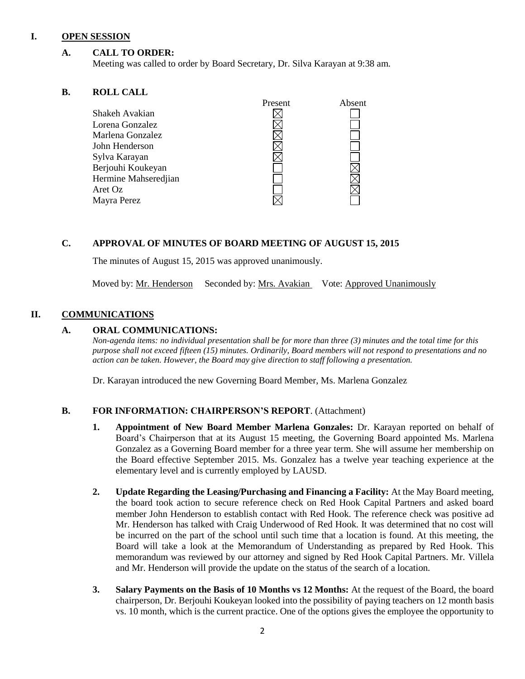# **I. OPEN SESSION**

# **A. CALL TO ORDER:**

Meeting was called to order by Board Secretary, Dr. Silva Karayan at 9:38 am.

# **B. ROLL CALL**

|                      | <b>FIESEII</b> | Adselit |
|----------------------|----------------|---------|
| Shakeh Avakian       |                |         |
| Lorena Gonzalez      |                |         |
| Marlena Gonzalez     |                |         |
| John Henderson       |                |         |
| Sylva Karayan        |                |         |
| Berjouhi Koukeyan    |                |         |
| Hermine Mahseredjian |                |         |
| Aret Oz              |                |         |
| Mayra Perez          |                |         |
|                      |                |         |

# **C. APPROVAL OF MINUTES OF BOARD MEETING OF AUGUST 15, 2015**

The minutes of August 15, 2015 was approved unanimously.

Moved by: Mr. Henderson Seconded by: Mrs. Avakian Vote: Approved Unanimously

# **II. COMMUNICATIONS**

# **A. ORAL COMMUNICATIONS:**

*Non-agenda items: no individual presentation shall be for more than three (3) minutes and the total time for this purpose shall not exceed fifteen (15) minutes. Ordinarily, Board members will not respond to presentations and no action can be taken. However, the Board may give direction to staff following a presentation.*

Present Absent

Dr. Karayan introduced the new Governing Board Member, Ms. Marlena Gonzalez

# **B. FOR INFORMATION: CHAIRPERSON'S REPORT**. (Attachment)

- **1. Appointment of New Board Member Marlena Gonzales:** Dr. Karayan reported on behalf of Board's Chairperson that at its August 15 meeting, the Governing Board appointed Ms. Marlena Gonzalez as a Governing Board member for a three year term. She will assume her membership on the Board effective September 2015. Ms. Gonzalez has a twelve year teaching experience at the elementary level and is currently employed by LAUSD.
- **2. Update Regarding the Leasing/Purchasing and Financing a Facility:** At the May Board meeting, the board took action to secure reference check on Red Hook Capital Partners and asked board member John Henderson to establish contact with Red Hook. The reference check was positive ad Mr. Henderson has talked with Craig Underwood of Red Hook. It was determined that no cost will be incurred on the part of the school until such time that a location is found. At this meeting, the Board will take a look at the Memorandum of Understanding as prepared by Red Hook. This memorandum was reviewed by our attorney and signed by Red Hook Capital Partners. Mr. Villela and Mr. Henderson will provide the update on the status of the search of a location.
- **3. Salary Payments on the Basis of 10 Months vs 12 Months:** At the request of the Board, the board chairperson, Dr. Berjouhi Koukeyan looked into the possibility of paying teachers on 12 month basis vs. 10 month, which is the current practice. One of the options gives the employee the opportunity to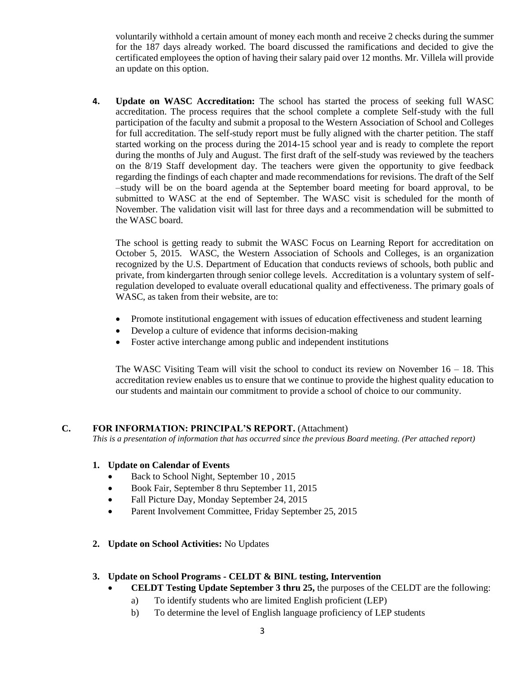voluntarily withhold a certain amount of money each month and receive 2 checks during the summer for the 187 days already worked. The board discussed the ramifications and decided to give the certificated employees the option of having their salary paid over 12 months. Mr. Villela will provide an update on this option.

**4. Update on WASC Accreditation:** The school has started the process of seeking full WASC accreditation. The process requires that the school complete a complete Self-study with the full participation of the faculty and submit a proposal to the Western Association of School and Colleges for full accreditation. The self-study report must be fully aligned with the charter petition. The staff started working on the process during the 2014-15 school year and is ready to complete the report during the months of July and August. The first draft of the self-study was reviewed by the teachers on the 8/19 Staff development day. The teachers were given the opportunity to give feedback regarding the findings of each chapter and made recommendations for revisions. The draft of the Self –study will be on the board agenda at the September board meeting for board approval, to be submitted to WASC at the end of September. The WASC visit is scheduled for the month of November. The validation visit will last for three days and a recommendation will be submitted to the WASC board.

The school is getting ready to submit the WASC Focus on Learning Report for accreditation on October 5, 2015. WASC, the Western Association of Schools and Colleges, is an organization recognized by the U.S. Department of Education that conducts reviews of schools, both public and private, from kindergarten through senior college levels. Accreditation is a voluntary system of selfregulation developed to evaluate overall educational quality and effectiveness. The primary goals of WASC, as taken from their website, are to:

- Promote institutional engagement with issues of education effectiveness and student learning
- Develop a culture of evidence that informs decision-making
- Foster active interchange among public and independent institutions

The WASC Visiting Team will visit the school to conduct its review on November  $16 - 18$ . This accreditation review enables us to ensure that we continue to provide the highest quality education to our students and maintain our commitment to provide a school of choice to our community.

# **C. FOR INFORMATION: PRINCIPAL'S REPORT.** (Attachment)

*This is a presentation of information that has occurred since the previous Board meeting. (Per attached report)*

# **1. Update on Calendar of Events**

- Back to School Night, September 10 , 2015
- Book Fair, September 8 thru September 11, 2015
- Fall Picture Day, Monday September 24, 2015
- Parent Involvement Committee, Friday September 25, 2015
- **2. Update on School Activities:** No Updates

# **3. Update on School Programs - CELDT & BINL testing, Intervention**

- **CELDT Testing Update September 3 thru 25,** the purposes of the CELDT are the following:
	- a) To identify students who are limited English proficient (LEP)
	- b) To determine the level of English language proficiency of LEP students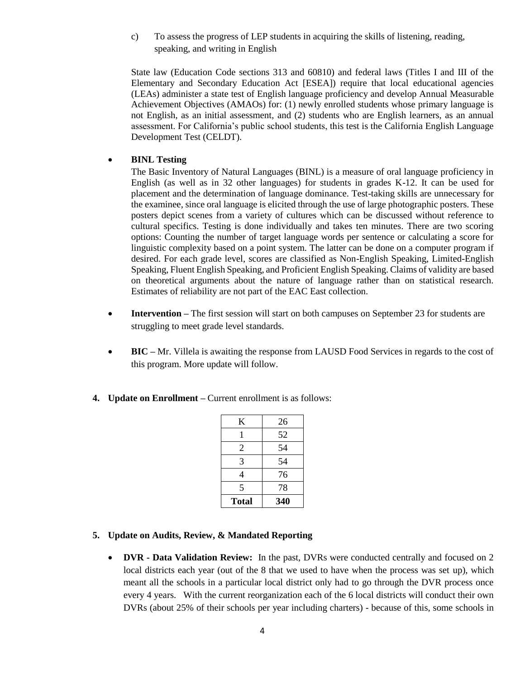c) To assess the progress of LEP students in acquiring the skills of listening, reading, speaking, and writing in English

State law (Education Code sections 313 and 60810) and federal laws (Titles I and III of the Elementary and Secondary Education Act [ESEA]) require that local educational agencies (LEAs) administer a state test of English language proficiency and develop Annual Measurable Achievement Objectives (AMAOs) for: (1) newly enrolled students whose primary language is not English, as an initial assessment, and (2) students who are English learners, as an annual assessment. For California's public school students, this test is the California English Language Development Test (CELDT).

# **BINL Testing**

The Basic Inventory of Natural Languages (BINL) is a measure of oral language proficiency in English (as well as in 32 other languages) for students in grades K-12. It can be used for placement and the determination of language dominance. Test-taking skills are unnecessary for the examinee, since oral language is elicited through the use of large photographic posters. These posters depict scenes from a variety of cultures which can be discussed without reference to cultural specifics. Testing is done individually and takes ten minutes. There are two scoring options: Counting the number of target language words per sentence or calculating a score for linguistic complexity based on a point system. The latter can be done on a computer program if desired. For each grade level, scores are classified as Non-English Speaking, Limited-English Speaking, Fluent English Speaking, and Proficient English Speaking. Claims of validity are based on theoretical arguments about the nature of language rather than on statistical research. Estimates of reliability are not part of the EAC East collection.

- **Intervention** The first session will start on both campuses on September 23 for students are struggling to meet grade level standards.
- **BIC** Mr. Villela is awaiting the response from LAUSD Food Services in regards to the cost of this program. More update will follow.
- **4. Update on Enrollment –** Current enrollment is as follows:

| K            | 26  |  |
|--------------|-----|--|
| 1            | 52  |  |
| 2            | 54  |  |
| 3            | 54  |  |
| 4            | 76  |  |
| 5            | 78  |  |
| <b>Total</b> | 340 |  |

- **5. Update on Audits, Review, & Mandated Reporting**
	- **DVR - Data Validation Review:** In the past, DVRs were conducted centrally and focused on 2 local districts each year (out of the 8 that we used to have when the process was set up), which meant all the schools in a particular local district only had to go through the DVR process once every 4 years. With the current reorganization each of the 6 local districts will conduct their own DVRs (about 25% of their schools per year including charters) - because of this, some schools in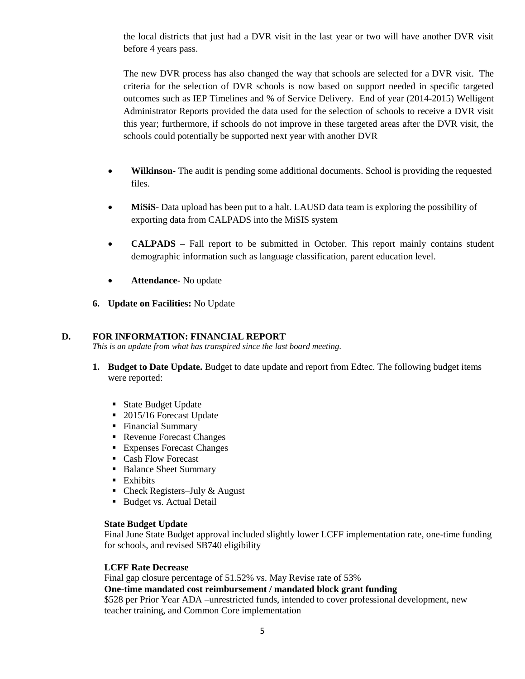the local districts that just had a DVR visit in the last year or two will have another DVR visit before 4 years pass.

The new DVR process has also changed the way that schools are selected for a DVR visit. The criteria for the selection of DVR schools is now based on support needed in specific targeted outcomes such as IEP Timelines and % of Service Delivery. End of year (2014-2015) Welligent Administrator Reports provided the data used for the selection of schools to receive a DVR visit this year; furthermore, if schools do not improve in these targeted areas after the DVR visit, the schools could potentially be supported next year with another DVR

- **Wilkinson-** The audit is pending some additional documents. School is providing the requested files.
- **MiSiS** Data upload has been put to a halt. LAUSD data team is exploring the possibility of exporting data from CALPADS into the MiSIS system
- **CALPADS** Fall report to be submitted in October. This report mainly contains student demographic information such as language classification, parent education level.
- **Attendance-** No update
- **6. Update on Facilities:** No Update

# **D. FOR INFORMATION: FINANCIAL REPORT**

*This is an update from what has transpired since the last board meeting.*

- **1. Budget to Date Update.** Budget to date update and report from Edtec. The following budget items were reported:
	- State Budget Update
	- 2015/16 Forecast Update
	- **Financial Summary**
	- Revenue Forecast Changes
	- Expenses Forecast Changes
	- Cash Flow Forecast
	- **Balance Sheet Summary**
	- **Exhibits**
	- Check Registers–July  $&$  August
	- Budget vs. Actual Detail

# **State Budget Update**

Final June State Budget approval included slightly lower LCFF implementation rate, one-time funding for schools, and revised SB740 eligibility

# **LCFF Rate Decrease**

Final gap closure percentage of 51.52% vs. May Revise rate of 53% **One-time mandated cost reimbursement / mandated block grant funding** \$528 per Prior Year ADA –unrestricted funds, intended to cover professional development, new teacher training, and Common Core implementation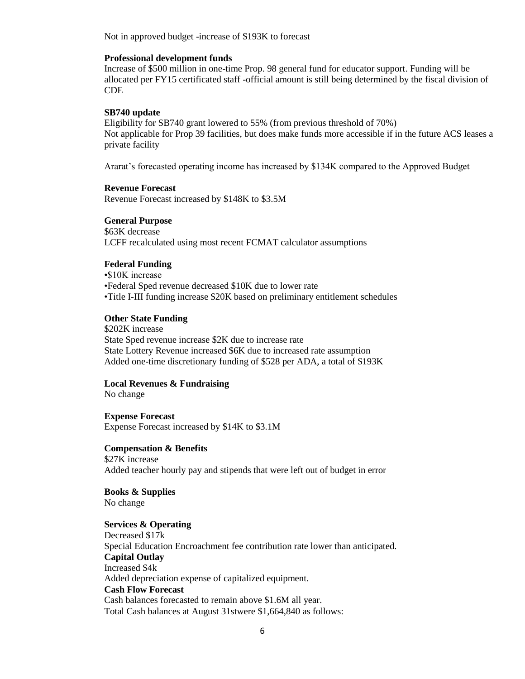Not in approved budget -increase of \$193K to forecast

#### **Professional development funds**

Increase of \$500 million in one-time Prop. 98 general fund for educator support. Funding will be allocated per FY15 certificated staff -official amount is still being determined by the fiscal division of CDE

#### **SB740 update**

Eligibility for SB740 grant lowered to 55% (from previous threshold of 70%) Not applicable for Prop 39 facilities, but does make funds more accessible if in the future ACS leases a private facility

Ararat's forecasted operating income has increased by \$134K compared to the Approved Budget

### **Revenue Forecast**

Revenue Forecast increased by \$148K to \$3.5M

#### **General Purpose**

\$63K decrease LCFF recalculated using most recent FCMAT calculator assumptions

### **Federal Funding**

•\$10K increase •Federal Sped revenue decreased \$10K due to lower rate •Title I-III funding increase \$20K based on preliminary entitlement schedules

### **Other State Funding**

\$202K increase State Sped revenue increase \$2K due to increase rate State Lottery Revenue increased \$6K due to increased rate assumption Added one-time discretionary funding of \$528 per ADA, a total of \$193K

#### **Local Revenues & Fundraising**

No change

**Expense Forecast** Expense Forecast increased by \$14K to \$3.1M

**Compensation & Benefits** \$27K increase Added teacher hourly pay and stipends that were left out of budget in error

**Books & Supplies** No change

# **Services & Operating**

Decreased \$17k Special Education Encroachment fee contribution rate lower than anticipated. **Capital Outlay** Increased \$4k Added depreciation expense of capitalized equipment. **Cash Flow Forecast** Cash balances forecasted to remain above \$1.6M all year. Total Cash balances at August 31stwere \$1,664,840 as follows: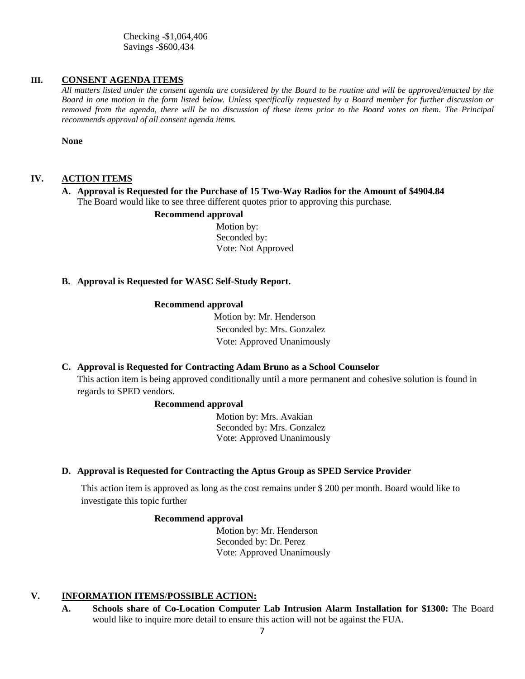Checking -\$1,064,406 Savings -\$600,434

# **III. CONSENT AGENDA ITEMS**

*All matters listed under the consent agenda are considered by the Board to be routine and will be approved/enacted by the Board in one motion in the form listed below. Unless specifically requested by a Board member for further discussion or removed from the agenda, there will be no discussion of these items prior to the Board votes on them. The Principal recommends approval of all consent agenda items.*

**None**

# **IV. ACTION ITEMS**

# **A. Approval is Requested for the Purchase of 15 Two-Way Radios for the Amount of \$4904.84** The Board would like to see three different quotes prior to approving this purchase.

# **Recommend approval**

 Motion by: Seconded by: Vote: Not Approved

#### **B. Approval is Requested for WASC Self-Study Report.**

#### **Recommend approval**

 Motion by: Mr. Henderson Seconded by: Mrs. Gonzalez Vote: Approved Unanimously

#### **C. Approval is Requested for Contracting Adam Bruno as a School Counselor**

This action item is being approved conditionally until a more permanent and cohesive solution is found in regards to SPED vendors.

#### **Recommend approval**

 Motion by: Mrs. Avakian Seconded by: Mrs. Gonzalez Vote: Approved Unanimously

#### **D. Approval is Requested for Contracting the Aptus Group as SPED Service Provider**

This action item is approved as long as the cost remains under \$ 200 per month. Board would like to investigate this topic further

#### **Recommend approval**

 Motion by: Mr. Henderson Seconded by: Dr. Perez Vote: Approved Unanimously

# **V. INFORMATION ITEMS**/**POSSIBLE ACTION:**

**A. Schools share of Co-Location Computer Lab Intrusion Alarm Installation for \$1300:** The Board would like to inquire more detail to ensure this action will not be against the FUA.